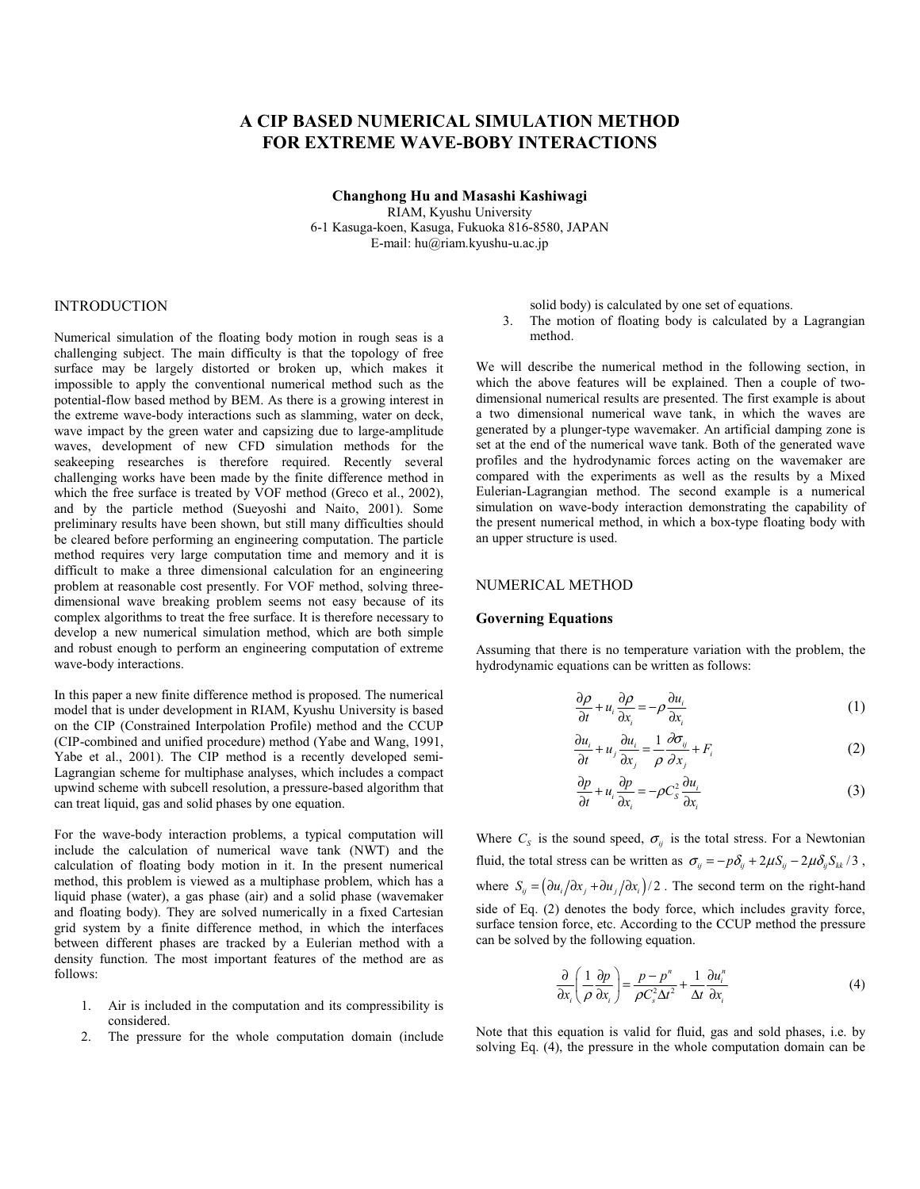# **A CIP BASED NUMERICAL SIMULATION METHOD FOR EXTREME WAVE-BOBY INTERACTIONS**

**Changhong Hu and Masashi Kashiwagi** RIAM, Kyushu University 6-1 Kasuga-koen, Kasuga, Fukuoka 816-8580, JAPAN E-mail: hu@riam.kyushu-u.ac.jp

# **INTRODUCTION**

Numerical simulation of the floating body motion in rough seas is a challenging subject. The main difficulty is that the topology of free surface may be largely distorted or broken up, which makes it impossible to apply the conventional numerical method such as the potential-flow based method by BEM. As there is a growing interest in the extreme wave-body interactions such as slamming, water on deck, wave impact by the green water and capsizing due to large-amplitude waves, development of new CFD simulation methods for the seakeeping researches is therefore required. Recently several challenging works have been made by the finite difference method in which the free surface is treated by VOF method (Greco et al., 2002), and by the particle method (Sueyoshi and Naito, 2001). Some preliminary results have been shown, but still many difficulties should be cleared before performing an engineering computation. The particle method requires very large computation time and memory and it is difficult to make a three dimensional calculation for an engineering problem at reasonable cost presently. For VOF method, solving threedimensional wave breaking problem seems not easy because of its complex algorithms to treat the free surface. It is therefore necessary to develop a new numerical simulation method, which are both simple and robust enough to perform an engineering computation of extreme wave-body interactions.

In this paper a new finite difference method is proposed. The numerical model that is under development in RIAM, Kyushu University is based on the CIP (Constrained Interpolation Profile) method and the CCUP (CIP-combined and unified procedure) method (Yabe and Wang, 1991, Yabe et al., 2001). The CIP method is a recently developed semi-Lagrangian scheme for multiphase analyses, which includes a compact upwind scheme with subcell resolution, a pressure-based algorithm that can treat liquid, gas and solid phases by one equation.

For the wave-body interaction problems, a typical computation will include the calculation of numerical wave tank (NWT) and the calculation of floating body motion in it. In the present numerical method, this problem is viewed as a multiphase problem, which has a liquid phase (water), a gas phase (air) and a solid phase (wavemaker and floating body). They are solved numerically in a fixed Cartesian grid system by a finite difference method, in which the interfaces between different phases are tracked by a Eulerian method with a density function. The most important features of the method are as follows:

- 1. Air is included in the computation and its compressibility is considered.
- 2. The pressure for the whole computation domain (include

solid body) is calculated by one set of equations.

3. The motion of floating body is calculated by a Lagrangian method.

We will describe the numerical method in the following section, in which the above features will be explained. Then a couple of twodimensional numerical results are presented. The first example is about a two dimensional numerical wave tank, in which the waves are generated by a plunger-type wavemaker. An artificial damping zone is set at the end of the numerical wave tank. Both of the generated wave profiles and the hydrodynamic forces acting on the wavemaker are compared with the experiments as well as the results by a Mixed Eulerian-Lagrangian method. The second example is a numerical simulation on wave-body interaction demonstrating the capability of the present numerical method, in which a box-type floating body with an upper structure is used.

#### NUMERICAL METHOD

# **Governing Equations**

Assuming that there is no temperature variation with the problem, the hydrodynamic equations can be written as follows:

$$
\frac{\partial \rho}{\partial t} + u_i \frac{\partial \rho}{\partial x_i} = -\rho \frac{\partial u_i}{\partial x_i}
$$
 (1)

$$
\frac{\partial u_i}{\partial t} + u_j \frac{\partial u_i}{\partial x_j} = \frac{1}{\rho} \frac{\partial \sigma_{ij}}{\partial x_j} + F_i
$$
 (2)

$$
\frac{\partial p}{\partial t} + u_i \frac{\partial p}{\partial x_i} = -\rho C_s^2 \frac{\partial u_i}{\partial x_i}
$$
 (3)

Where  $C_s$  is the sound speed,  $\sigma_{ij}$  is the total stress. For a Newtonian fluid, the total stress can be written as  $\sigma_{ii} = -p\delta_{ii} + 2\mu S_{ii} - 2\mu \delta_{ii} S_{kk} / 3$ , where  $S_{ij} = (\partial u_i / \partial x_j + \partial u_j / \partial x_i)/2$ . The second term on the right-hand side of Eq. (2) denotes the body force, which includes gravity force, surface tension force, etc. According to the CCUP method the pressure can be solved by the following equation.

$$
\frac{\partial}{\partial x_i} \left( \frac{1}{\rho} \frac{\partial p}{\partial x_i} \right) = \frac{p - p^n}{\rho C_s^2 \Delta t^2} + \frac{1}{\Delta t} \frac{\partial u_i^n}{\partial x_i}
$$
(4)

Note that this equation is valid for fluid, gas and sold phases, i.e. by solving Eq. (4), the pressure in the whole computation domain can be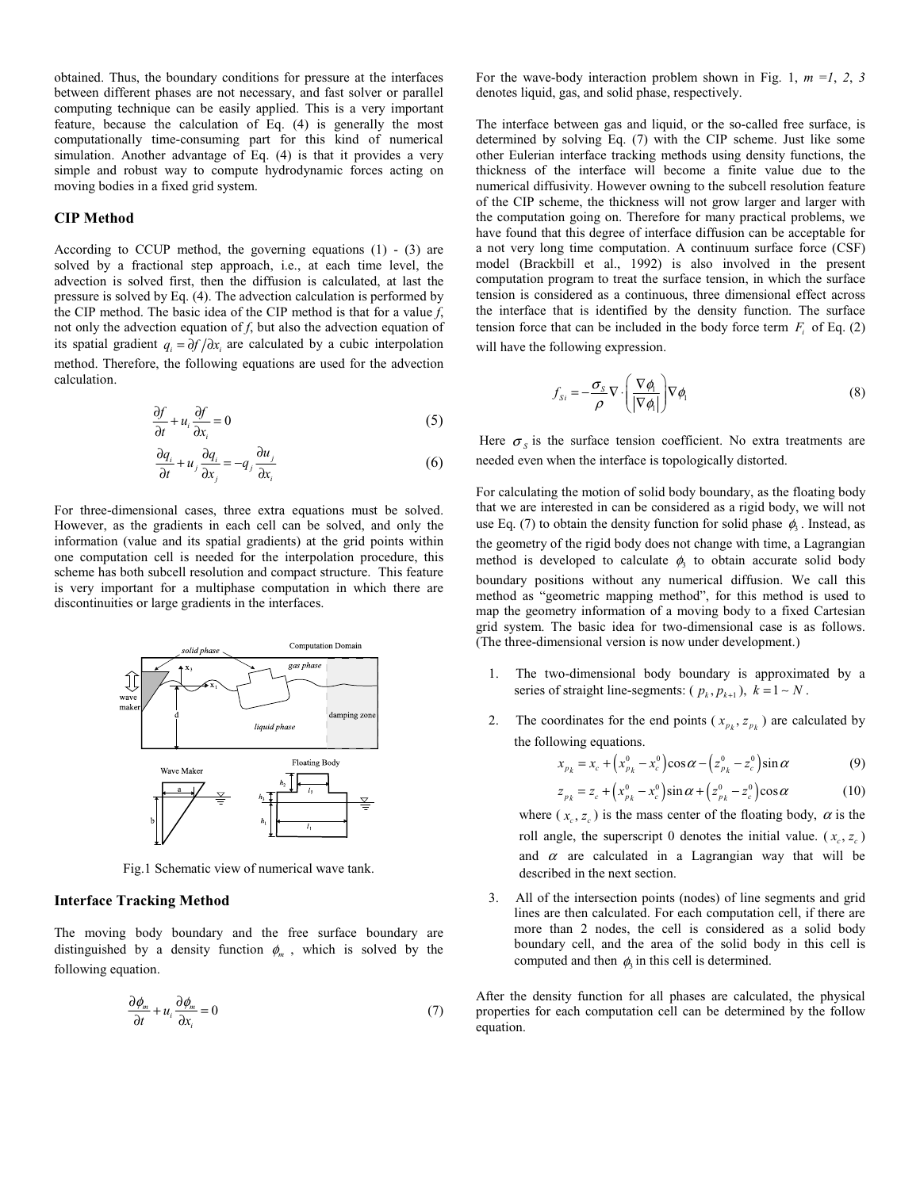obtained. Thus, the boundary conditions for pressure at the interfaces between different phases are not necessary, and fast solver or parallel computing technique can be easily applied. This is a very important feature, because the calculation of Eq. (4) is generally the most computationally time-consuming part for this kind of numerical simulation. Another advantage of Eq. (4) is that it provides a very simple and robust way to compute hydrodynamic forces acting on moving bodies in a fixed grid system.

### **CIP Method**

According to CCUP method, the governing equations (1) - (3) are solved by a fractional step approach, i.e., at each time level, the advection is solved first, then the diffusion is calculated, at last the pressure is solved by Eq. (4). The advection calculation is performed by the CIP method. The basic idea of the CIP method is that for a value *f*, not only the advection equation of *f*, but also the advection equation of its spatial gradient  $q_i = \frac{\partial f}{\partial x_i}$  are calculated by a cubic interpolation method. Therefore, the following equations are used for the advection calculation.

$$
\frac{\partial f}{\partial t} + u_i \frac{\partial f}{\partial x_i} = 0 \tag{5}
$$

$$
\frac{\partial q_i}{\partial t} + u_j \frac{\partial q_i}{\partial x_j} = -q_j \frac{\partial u_j}{\partial x_i}
$$
 (6)

For three-dimensional cases, three extra equations must be solved. However, as the gradients in each cell can be solved, and only the information (value and its spatial gradients) at the grid points within one computation cell is needed for the interpolation procedure, this scheme has both subcell resolution and compact structure. This feature is very important for a multiphase computation in which there are discontinuities or large gradients in the interfaces.



Fig.1 Schematic view of numerical wave tank.

# **Interface Tracking Method**

The moving body boundary and the free surface boundary are distinguished by a density function  $\phi_m$ , which is solved by the following equation.

$$
\frac{\partial \phi_m}{\partial t} + u_i \frac{\partial \phi_m}{\partial x_i} = 0 \tag{7}
$$

For the wave-body interaction problem shown in Fig. 1,  $m = 1, 2, 3$ denotes liquid, gas, and solid phase, respectively.

The interface between gas and liquid, or the so-called free surface, is determined by solving Eq. (7) with the CIP scheme. Just like some other Eulerian interface tracking methods using density functions, the thickness of the interface will become a finite value due to the numerical diffusivity. However owning to the subcell resolution feature of the CIP scheme, the thickness will not grow larger and larger with the computation going on. Therefore for many practical problems, we have found that this degree of interface diffusion can be acceptable for a not very long time computation. A continuum surface force (CSF) model (Brackbill et al., 1992) is also involved in the present computation program to treat the surface tension, in which the surface tension is considered as a continuous, three dimensional effect across the interface that is identified by the density function. The surface tension force that can be included in the body force term  $F_i$  of Eq. (2) will have the following expression.

$$
f_{Si} = -\frac{\sigma_S}{\rho} \nabla \cdot \left( \frac{\nabla \phi_i}{|\nabla \phi_i|} \right) \nabla \phi_i
$$
 (8)

Here  $\sigma_s$  is the surface tension coefficient. No extra treatments are needed even when the interface is topologically distorted.

For calculating the motion of solid body boundary, as the floating body that we are interested in can be considered as a rigid body, we will not use Eq. (7) to obtain the density function for solid phase  $\phi$ . Instead, as the geometry of the rigid body does not change with time, a Lagrangian method is developed to calculate  $\phi$ , to obtain accurate solid body boundary positions without any numerical diffusion. We call this method as "geometric mapping method", for this method is used to map the geometry information of a moving body to a fixed Cartesian grid system. The basic idea for two-dimensional case is as follows. (The three-dimensional version is now under development.)

- 1. The two-dimensional body boundary is approximated by a series of straight line-segments:  $(p_k, p_{k+1}), k = 1 \sim N$ .
- 2. The coordinates for the end points ( $x_{p_k}, z_{p_k}$ ) are calculated by the following equations.

$$
x_{p_k} = x_c + (x_{p_k}^0 - x_c^0) \cos \alpha - (z_{p_k}^0 - z_c^0) \sin \alpha
$$
 (9)

$$
z_{p_k} = z_c + (x_{p_k}^0 - x_c^0) \sin \alpha + (z_{p_k}^0 - z_c^0) \cos \alpha \tag{10}
$$

where ( $x_c, z_c$ ) is the mass center of the floating body,  $\alpha$  is the roll angle, the superscript 0 denotes the initial value. ( $x_c$ ,  $z_c$ ) and  $\alpha$  are calculated in a Lagrangian way that will be described in the next section.

3. All of the intersection points (nodes) of line segments and grid lines are then calculated. For each computation cell, if there are more than 2 nodes, the cell is considered as a solid body boundary cell, and the area of the solid body in this cell is computed and then  $\phi$ , in this cell is determined.

After the density function for all phases are calculated, the physical properties for each computation cell can be determined by the follow equation.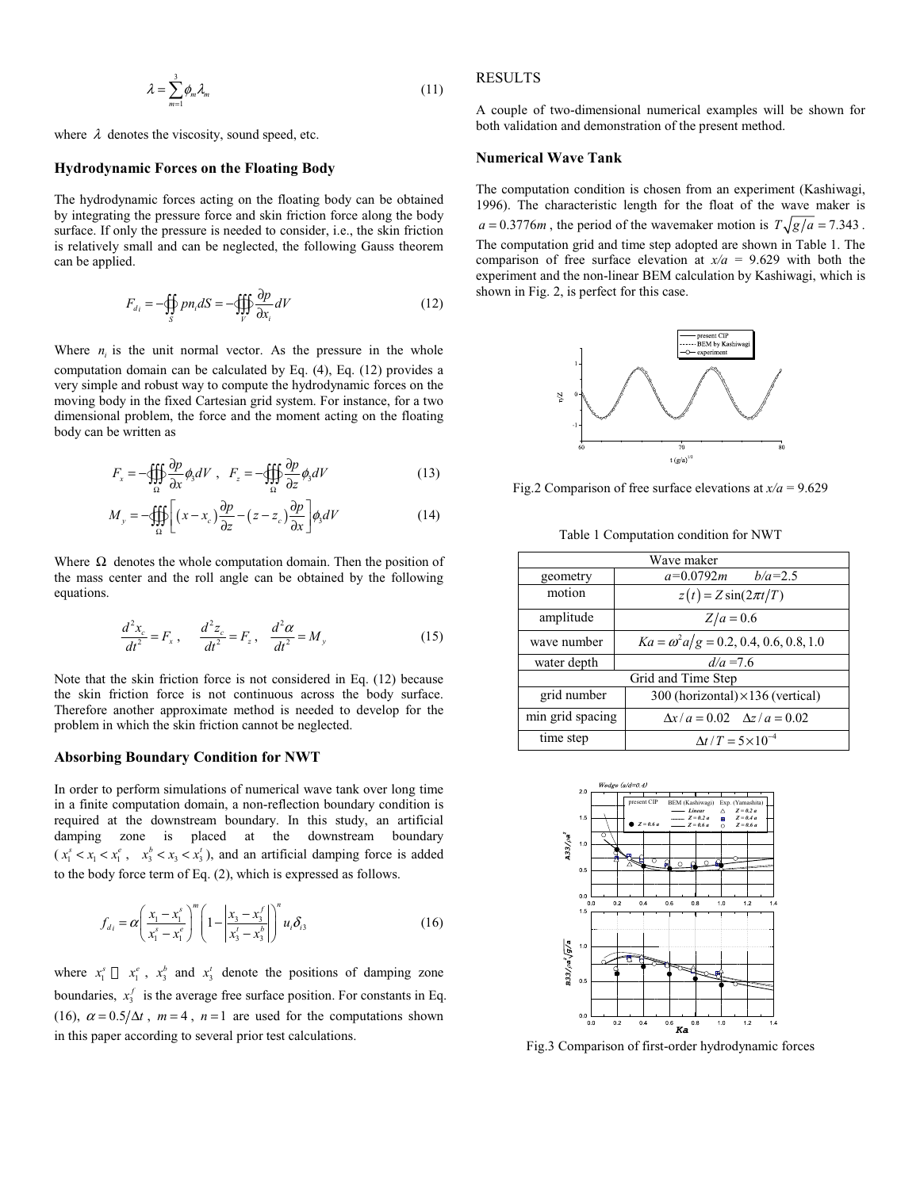$$
\lambda = \sum_{m=1}^{3} \phi_m \lambda_m \tag{11}
$$

where  $\lambda$  denotes the viscosity, sound speed, etc.

#### **Hydrodynamic Forces on the Floating Body**

The hydrodynamic forces acting on the floating body can be obtained by integrating the pressure force and skin friction force along the body surface. If only the pressure is needed to consider, i.e., the skin friction is relatively small and can be neglected, the following Gauss theorem can be applied.

$$
F_{di} = -\oiint_{S} p n_i dS = -\oiint_{V} \frac{\partial p}{\partial x_i} dV
$$
 (12)

Where  $n_i$  is the unit normal vector. As the pressure in the whole computation domain can be calculated by Eq. (4), Eq. (12) provides a very simple and robust way to compute the hydrodynamic forces on the moving body in the fixed Cartesian grid system. For instance, for a two dimensional problem, the force and the moment acting on the floating body can be written as

$$
F_x = -\underset{\Omega}{\text{diag}} \frac{\partial p}{\partial x} \phi_3 dV \ , \ \ F_z = -\underset{\Omega}{\text{diag}} \frac{\partial p}{\partial z} \phi_3 dV \tag{13}
$$

$$
M_{y} = -\underset{\Omega}{\text{H}}\underset{\Omega}{\text{F}}\left[ (x - x_c) \frac{\partial p}{\partial z} - (z - z_c) \frac{\partial p}{\partial x} \right] \phi_3 dV \tag{14}
$$

Where  $\Omega$  denotes the whole computation domain. Then the position of the mass center and the roll angle can be obtained by the following equations.

$$
\frac{d^2x_c}{dt^2} = F_x , \qquad \frac{d^2z_c}{dt^2} = F_z , \qquad \frac{d^2\alpha}{dt^2} = M_y
$$
 (15)

Note that the skin friction force is not considered in Eq. (12) because the skin friction force is not continuous across the body surface. Therefore another approximate method is needed to develop for the problem in which the skin friction cannot be neglected.

## **Absorbing Boundary Condition for NWT**

In order to perform simulations of numerical wave tank over long time in a finite computation domain, a non-reflection boundary condition is required at the downstream boundary. In this study, an artificial damping zone is placed at the downstream boundary  $(x_1^s < x_1 < x_1^e$ ,  $x_2^b < x_2 < x_2^t$ ), and an artificial damping force is added to the body force term of Eq. (2), which is expressed as follows.

$$
f_{di} = \alpha \left( \frac{x_1 - x_1^s}{x_1^s - x_1^e} \right)^m \left( 1 - \left| \frac{x_3 - x_3^f}{x_3^t - x_3^b} \right| \right)^n u_i \delta_{i3} \tag{16}
$$

where  $x_1^s$   $x_1^e$ ,  $x_2^b$  and  $x_3^t$  denote the positions of damping zone boundaries,  $x_3^f$  is the average free surface position. For constants in Eq. (16),  $\alpha = 0.5/\Delta t$ ,  $m = 4$ ,  $n = 1$  are used for the computations shown in this paper according to several prior test calculations.

#### RESULTS

A couple of two-dimensional numerical examples will be shown for both validation and demonstration of the present method.

## **Numerical Wave Tank**

The computation condition is chosen from an experiment (Kashiwagi, 1996). The characteristic length for the float of the wave maker is  $a = 0.3776m$ , the period of the wavemaker motion is  $T\sqrt{g/a} = 7.343$ . The computation grid and time step adopted are shown in Table 1. The comparison of free surface elevation at  $x/a = 9.629$  with both the experiment and the non-linear BEM calculation by Kashiwagi, which is shown in Fig. 2, is perfect for this case.



Fig.2 Comparison of free surface elevations at  $x/a = 9.629$ 

Table 1 Computation condition for NWT

| Wave maker         |                                               |
|--------------------|-----------------------------------------------|
| geometry           | $a = 0.0792m$<br>$b/a = 2.5$                  |
| motion             | $z(t) = Z \sin(2\pi t/T)$                     |
| amplitude          | $Z/a = 0.6$                                   |
| wave number        | $Ka = \omega^2 a/g = 0.2, 0.4, 0.6, 0.8, 1.0$ |
| water depth        | $d/a = 7.6$                                   |
| Grid and Time Step |                                               |
| grid number        | 300 (horizontal) $\times$ 136 (vertical)      |
| min grid spacing   | $\Delta x/a = 0.02 \quad \Delta z/a = 0.02$   |
| time step          | $\Delta t/T = 5 \times 10^{-4}$               |



Fig.3 Comparison of first-order hydrodynamic forces